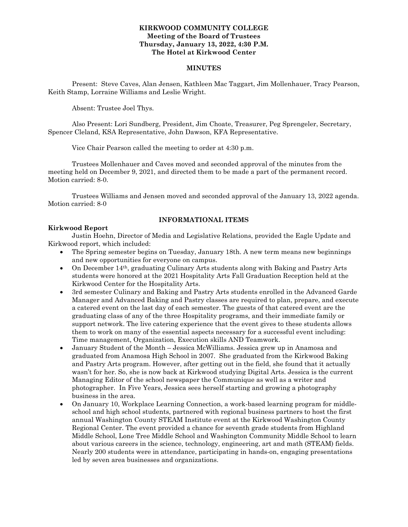#### **KIRKWOOD COMMUNITY COLLEGE Meeting of the Board of Trustees Thursday, January 13, 2022, 4:30 P.M. The Hotel at Kirkwood Center**

#### **MINUTES**

Present: Steve Caves, Alan Jensen, Kathleen Mac Taggart, Jim Mollenhauer, Tracy Pearson, Keith Stamp, Lorraine Williams and Leslie Wright.

Absent: Trustee Joel Thys.

Also Present: Lori Sundberg, President, Jim Choate, Treasurer, Peg Sprengeler, Secretary, Spencer Cleland, KSA Representative, John Dawson, KFA Representative.

Vice Chair Pearson called the meeting to order at 4:30 p.m.

Trustees Mollenhauer and Caves moved and seconded approval of the minutes from the meeting held on December 9, 2021, and directed them to be made a part of the permanent record. Motion carried: 8-0.

Trustees Williams and Jensen moved and seconded approval of the January 13, 2022 agenda. Motion carried: 8-0

## **INFORMATIONAL ITEMS**

#### **Kirkwood Report**

Justin Hoehn, Director of Media and Legislative Relations, provided the Eagle Update and Kirkwood report, which included:

- The Spring semester begins on Tuesday, January 18th. A new term means new beginnings and new opportunities for everyone on campus.
- On December 14th, graduating Culinary Arts students along with Baking and Pastry Arts students were honored at the 2021 Hospitality Arts Fall Graduation Reception held at the Kirkwood Center for the Hospitality Arts.
- 3rd semester Culinary and Baking and Pastry Arts students enrolled in the Advanced Garde Manager and Advanced Baking and Pastry classes are required to plan, prepare, and execute a catered event on the last day of each semester. The guests of that catered event are the graduating class of any of the three Hospitality programs, and their immediate family or support network. The live catering experience that the event gives to these students allows them to work on many of the essential aspects necessary for a successful event including: Time management, Organization, Execution skills AND Teamwork.
- January Student of the Month Jessica McWilliams. Jessica grew up in Anamosa and graduated from Anamosa High School in 2007. She graduated from the Kirkwood Baking and Pastry Arts program. However, after getting out in the field, she found that it actually wasn't for her. So, she is now back at Kirkwood studying Digital Arts. Jessica is the current Managing Editor of the school newspaper the Communique as well as a writer and photographer. In Five Years, Jessica sees herself starting and growing a photography business in the area.
- On January 10, Workplace Learning Connection, a work-based learning program for middleschool and high school students, partnered with regional business partners to host the first annual Washington County STEAM Institute event at the Kirkwood Washington County Regional Center. The event provided a chance for seventh grade students from Highland Middle School, Lone Tree Middle School and Washington Community Middle School to learn about various careers in the science, technology, engineering, art and math (STEAM) fields. Nearly 200 students were in attendance, participating in hands-on, engaging presentations led by seven area businesses and organizations.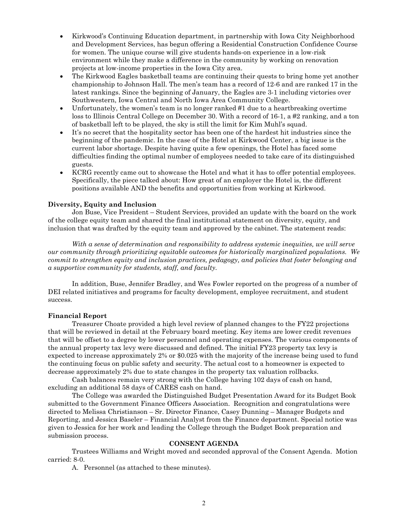- Kirkwood's Continuing Education department, in partnership with Iowa City Neighborhood and Development Services, has begun offering a Residential Construction Confidence Course for women. The unique course will give students hands-on experience in a low-risk environment while they make a difference in the community by working on renovation projects at low-income properties in the Iowa City area.
- The Kirkwood Eagles basketball teams are continuing their quests to bring home yet another championship to Johnson Hall. The men's team has a record of 12-6 and are ranked 17 in the latest rankings. Since the beginning of January, the Eagles are 3-1 including victories over Southwestern, Iowa Central and North Iowa Area Community College.
- Unfortunately, the women's team is no longer ranked #1 due to a heartbreaking overtime loss to Illinois Central College on December 30. With a record of 16-1, a #2 ranking, and a ton of basketball left to be played, the sky is still the limit for Kim Muhl's squad.
- It's no secret that the hospitality sector has been one of the hardest hit industries since the beginning of the pandemic. In the case of the Hotel at Kirkwood Center, a big issue is the current labor shortage. Despite having quite a few openings, the Hotel has faced some difficulties finding the optimal number of employees needed to take care of its distinguished guests.
- KCRG recently came out to showcase the Hotel and what it has to offer potential employees. Specifically, the piece talked about: How great of an employer the Hotel is, the different positions available AND the benefits and opportunities from working at Kirkwood.

#### **Diversity, Equity and Inclusion**

Jon Buse, Vice President – Student Services, provided an update with the board on the work of the college equity team and shared the final institutional statement on diversity, equity, and inclusion that was drafted by the equity team and approved by the cabinet. The statement reads:

*With a sense of determination and responsibility to address systemic inequities, we will serve our community through prioritizing equitable outcomes for historically marginalized populations. We commit to strengthen equity and inclusion practices, pedagogy, and policies that foster belonging and a supportive community for students, staff, and faculty.* 

In addition, Buse, Jennifer Bradley, and Wes Fowler reported on the progress of a number of DEI related initiatives and programs for faculty development, employee recruitment, and student success.

#### **Financial Report**

Treasurer Choate provided a high level review of planned changes to the FY22 projections that will be reviewed in detail at the February board meeting. Key items are lower credit revenues that will be offset to a degree by lower personnel and operating expenses. The various components of the annual property tax levy were discussed and defined. The initial FY23 property tax levy is expected to increase approximately 2% or \$0.025 with the majority of the increase being used to fund the continuing focus on public safety and security. The actual cost to a homeowner is expected to decrease approximately 2% due to state changes in the property tax valuation rollbacks.

Cash balances remain very strong with the College having 102 days of cash on hand, excluding an additional 58 days of CARES cash on hand.

The College was awarded the Distinguished Budget Presentation Award for its Budget Book submitted to the Government Finance Officers Association. Recognition and congratulations were directed to Melissa Christianson – Sr. Director Finance, Casey Dunning – Manager Budgets and Reporting, and Jessica Baseler – Financial Analyst from the Finance department. Special notice was given to Jessica for her work and leading the College through the Budget Book preparation and submission process.

#### **CONSENT AGENDA**

Trustees Williams and Wright moved and seconded approval of the Consent Agenda. Motion carried: 8-0.

A. Personnel (as attached to these minutes).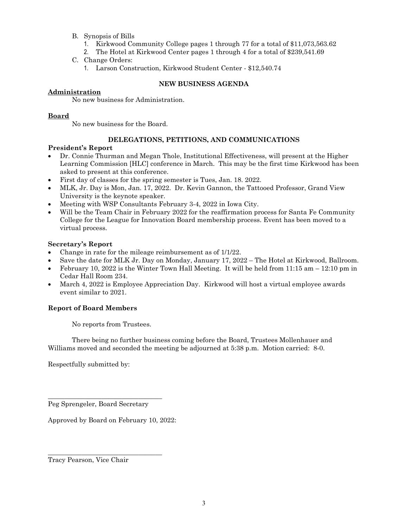- B. Synopsis of Bills
	- 1. Kirkwood Community College pages 1 through 77 for a total of \$11,073,563.62
	- 2. The Hotel at Kirkwood Center pages 1 through 4 for a total of \$239,541.69
- C. Change Orders:
	- 1. Larson Construction, Kirkwood Student Center \$12,540.74

# **NEW BUSINESS AGENDA**

# **Administration**

No new business for Administration.

# **Board**

No new business for the Board.

# **DELEGATIONS, PETITIONS, AND COMMUNICATIONS**

## **President's Report**

- Dr. Connie Thurman and Megan Thole, Institutional Effectiveness, will present at the Higher Learning Commission [HLC] conference in March. This may be the first time Kirkwood has been asked to present at this conference.
- First day of classes for the spring semester is Tues, Jan. 18. 2022.
- MLK, Jr. Day is Mon, Jan. 17, 2022. Dr. Kevin Gannon, the Tattooed Professor, Grand View University is the keynote speaker.
- Meeting with WSP Consultants February 3-4, 2022 in Iowa City.
- Will be the Team Chair in February 2022 for the reaffirmation process for Santa Fe Community College for the League for Innovation Board membership process. Event has been moved to a virtual process.

## **Secretary's Report**

- Change in rate for the mileage reimbursement as of 1/1/22.
- Save the date for MLK Jr. Day on Monday, January 17, 2022 The Hotel at Kirkwood, Ballroom.
- February 10, 2022 is the Winter Town Hall Meeting. It will be held from  $11:15$  am  $-12:10$  pm in Cedar Hall Room 234.
- March 4, 2022 is Employee Appreciation Day. Kirkwood will host a virtual employee awards event similar to 2021.

# **Report of Board Members**

No reports from Trustees.

There being no further business coming before the Board, Trustees Mollenhauer and Williams moved and seconded the meeting be adjourned at 5:38 p.m. Motion carried: 8-0.

Respectfully submitted by:

Peg Sprengeler, Board Secretary

\_\_\_\_\_\_\_\_\_\_\_\_\_\_\_\_\_\_\_\_\_\_\_\_\_\_\_\_\_\_\_\_\_\_

\_\_\_\_\_\_\_\_\_\_\_\_\_\_\_\_\_\_\_\_\_\_\_\_\_\_\_\_\_\_\_\_\_\_

Approved by Board on February 10, 2022:

Tracy Pearson, Vice Chair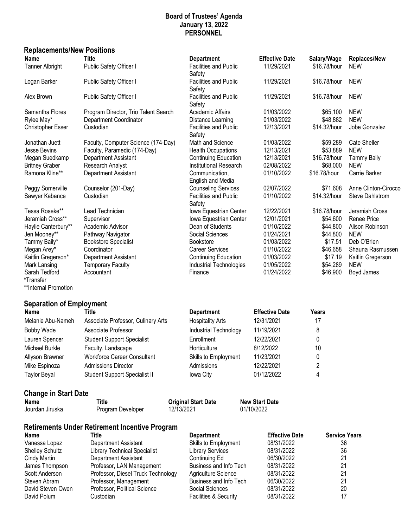# **Board of Trustees' Agenda January 13, 2022 PERSONNEL**

# **Replacements/New Positions**

| Name                            | <b>Title</b>                                          | <b>Department</b>                                | <b>Effective Date</b> | Salary/Wage          | <b>Replaces/New</b>           |
|---------------------------------|-------------------------------------------------------|--------------------------------------------------|-----------------------|----------------------|-------------------------------|
| <b>Tanner Albright</b>          | Public Safety Officer I                               | <b>Facilities and Public</b><br>Safety           | 11/29/2021            | \$16.78/hour         | <b>NEW</b>                    |
| Logan Barker                    | Public Safety Officer I                               | <b>Facilities and Public</b><br>Safety           | 11/29/2021            | \$16.78/hour         | <b>NEW</b>                    |
| Alex Brown                      | Public Safety Officer I                               | <b>Facilities and Public</b><br>Safety           | 11/29/2021            | \$16.78/hour         | <b>NEW</b>                    |
| Samantha Flores                 | Program Director, Trio Talent Search                  | Academic Affairs                                 | 01/03/2022            | \$65,100             | <b>NEW</b>                    |
| Rylee May*                      | Department Coordinator                                | Distance Learning                                | 01/03/2022            | \$48,882             | <b>NEW</b>                    |
| <b>Christopher Esser</b>        | Custodian                                             | <b>Facilities and Public</b><br>Safety           | 12/13/2021            | \$14.32/hour         | Jobe Gonzalez                 |
| Jonathan Juett                  | Faculty, Computer Science (174-Day)                   | Math and Science                                 | 01/03/2022            | \$59,289             | Cate Sheller                  |
| Jesse Bevins                    | Faculty, Paramedic (174-Day)                          | <b>Health Occupations</b>                        | 12/13/2021            | \$53,889             | <b>NEW</b>                    |
| Megan Suedkamp                  | Department Assistant                                  | Continuing Education                             | 12/13/2021            | \$16.78/hour         | <b>Tammy Baily</b>            |
| <b>Britney Graber</b>           | Research Analyst                                      | <b>Institutional Research</b>                    | 02/08/2022            | \$68,000             | <b>NEW</b>                    |
| Ramona Kline**                  | Department Assistant                                  | Communication,<br>English and Media              | 01/10/2022            | \$16.78/hour         | Carrie Barker                 |
| Peggy Somerville                | Counselor (201-Day)                                   | <b>Counseling Services</b>                       | 02/07/2022            | \$71,608             | Anne Clinton-Cirocco          |
| Sawyer Kabance                  | Custodian                                             | <b>Facilities and Public</b>                     | 01/10/2022            | \$14.32/hour         | Steve Dahlstrom               |
| Tessa Roseke**                  | Lead Technician                                       | Safety                                           | 12/22/2021            | \$16.78/hour         |                               |
| Jeramiah Cross**                | Supervisor                                            | Iowa Equestrian Center<br>Iowa Equestrian Center | 12/01/2021            | \$54,600             | Jeramiah Cross<br>Renee Price |
| Haylie Canterbury**             | Academic Advisor                                      | Dean of Students                                 | 01/10/2022            | \$44,800             | Alison Robinson               |
| Jen Mooney**                    | Pathway Navigator                                     | Social Sciences                                  | 01/24/2021            | \$44,800             | <b>NEW</b>                    |
| Tammy Baily*                    | <b>Bookstore Specialist</b>                           | <b>Bookstore</b>                                 | 01/03/2022            | \$17.51              | Deb O'Brien                   |
| Megan Arey*                     | Coordinator                                           | <b>Career Services</b>                           | 01/10/2022            | \$46,658             | Shauna Rasmussen              |
| Kaitlin Gregerson*              | Department Assistant                                  | <b>Continuing Education</b>                      | 01/03/2022            | \$17.19              | Kaitlin Gregerson             |
| Mark Lansing                    | <b>Temporary Faculty</b>                              | Industrial Technologies                          | 01/05/2022            | \$54,289             | <b>NEW</b>                    |
| Sarah Tedford<br>*Transfer      | Accountant                                            | Finance                                          | 01/24/2022            | \$46,900             | Boyd James                    |
| **Internal Promotion            |                                                       |                                                  |                       |                      |                               |
| <b>Separation of Employment</b> |                                                       |                                                  |                       |                      |                               |
| <b>Name</b>                     | <b>Title</b>                                          | <b>Department</b>                                | <b>Effective Date</b> | <b>Years</b>         |                               |
| Melanie Abu-Nameh               | Associate Professor, Culinary Arts                    | <b>Hospitality Arts</b>                          | 12/31/2021            | 17                   |                               |
| <b>Bobby Wade</b>               | Associate Professor                                   | Industrial Technology                            | 11/19/2021            | 8                    |                               |
| Lauren Spencer                  | <b>Student Support Specialist</b>                     | Enrollment                                       | 12/22/2021            | 0                    |                               |
| Michael Burkle                  | Faculty, Landscape                                    | Horticulture                                     | 8/12/2022             | 10                   |                               |
| Allyson Brawner                 | <b>Workforce Career Consultant</b>                    | Skills to Employment                             | 11/23/2021            | 0                    |                               |
| Mike Espinoza                   | <b>Admissions Director</b>                            | Admissions                                       | 12/22/2021            | 2                    |                               |
| <b>Taylor Beyal</b>             | Student Support Specialist II                         | Iowa City                                        | 01/12/2022            | 4                    |                               |
| <b>Change in Start Date</b>     |                                                       |                                                  |                       |                      |                               |
| <b>Name</b>                     | <b>Title</b>                                          | <b>Original Start Date</b>                       | <b>New Start Date</b> |                      |                               |
| Jourdan Jiruska                 | Program Developer<br>12/13/2021                       |                                                  | 01/10/2022            |                      |                               |
|                                 | <b>Retirements Under Retirement Incentive Program</b> |                                                  |                       |                      |                               |
| Name                            | <b>Title</b>                                          | <b>Department</b>                                | <b>Effective Date</b> | <b>Service Years</b> |                               |
| Vanessa Lopez                   | Department Assistant                                  | Skills to Employment                             | 08/31/2022            | 36                   |                               |
| <b>Shelley Schultz</b>          | <b>Library Technical Specialist</b>                   | <b>Library Services</b>                          | 08/31/2022            | 36                   |                               |
| Cindy Martin                    | Department Assistant                                  | Continuing Ed                                    | 06/30/2022            | 21                   |                               |
| James Thompson                  | Professor, LAN Management                             | Business and Info Tech                           | 08/31/2022            | 21                   |                               |
| Scott Anderson                  | Professor, Diesel Truck Technology                    | Agriculture Science                              | 08/31/2022            | 21                   |                               |
| Steven Abram                    | Professor, Management                                 | Business and Info Tech                           | 06/30/2022            | 21                   |                               |
| David Steven Owen               | Professor, Political Science                          | Social Sciences                                  | 08/31/2022            | 20                   |                               |
| David Polum                     | Custodian                                             | Facilities & Security                            | 08/31/2022            | 17                   |                               |